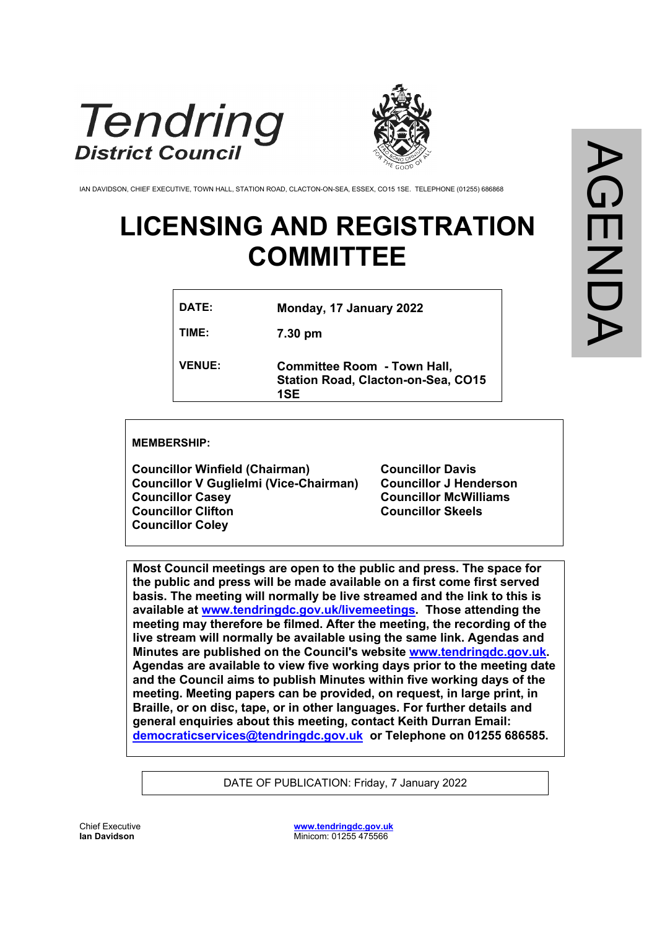



IAN DAVIDSON, CHIEF EXECUTIVE, TOWN HALL, STATION ROAD, CLACTON-ON-SEA, ESSEX, CO15 1SE. TELEPHONE (01255) 686868

# **LICENSING AND REGISTRATION COMMITTEE**

| DATE:         | Monday, 17 January 2022                                                                |
|---------------|----------------------------------------------------------------------------------------|
| TIME:         | 7.30 pm                                                                                |
| <b>VENUE:</b> | <b>Committee Room - Town Hall,</b><br><b>Station Road, Clacton-on-Sea, CO15</b><br>1SE |

**MEMBERSHIP:**

**Councillor Winfield (Chairman) Councillor V Guglielmi (Vice-Chairman) Councillor Casey Councillor Clifton Councillor Coley**

**Councillor Davis Councillor J Henderson Councillor McWilliams Councillor Skeels**

**Most Council meetings are open to the public and press. The space for the public and press will be made available on a first come first served basis. The meeting will normally be live streamed and the link to this is available at [www.tendringdc.gov.uk/livemeetings](http://www.tendringdc.gov.uk/livemeetings). Those attending the meeting may therefore be filmed. After the meeting, the recording of the live stream will normally be available using the same link. Agendas and Minutes are published on the Council's website [www.tendringdc.gov.uk](http://www.tendringdc.gov.uk/). Agendas are available to view five working days prior to the meeting date and the Council aims to publish Minutes within five working days of the meeting. Meeting papers can be provided, on request, in large print, in Braille, or on disc, tape, or in other languages. For further details and general enquiries about this meeting, contact Keith Durran Email: [democraticservices@tendringdc.gov.uk](mailto:democraticservices@tendringdc.gov.uk) or Telephone on 01255 686585.**

DATE OF PUBLICATION: Friday, 7 January 2022

Chief Executive **Ian Davidson** 

**[www.tendringdc.gov.uk](http://www.tendringdc.gov.uk/)** Minicom: 01255 475566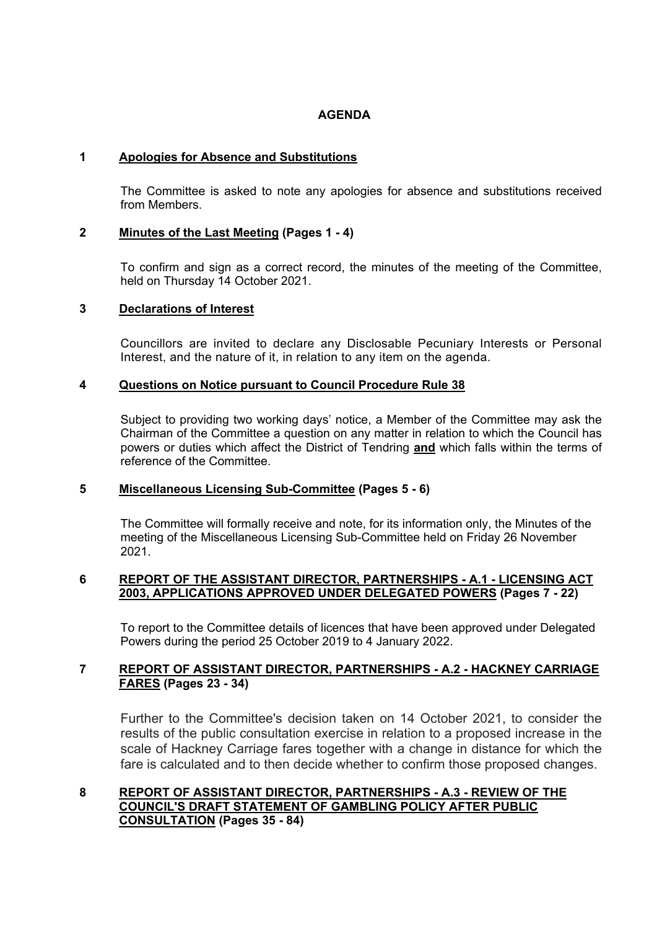# **AGENDA**

#### **1 Apologies for Absence and Substitutions**

The Committee is asked to note any apologies for absence and substitutions received from Members.

#### **2 Minutes of the Last Meeting (Pages 1 - 4)**

To confirm and sign as a correct record, the minutes of the meeting of the Committee, held on Thursday 14 October 2021.

# **3 Declarations of Interest**

Councillors are invited to declare any Disclosable Pecuniary Interests or Personal Interest, and the nature of it, in relation to any item on the agenda.

#### **4 Questions on Notice pursuant to Council Procedure Rule 38**

Subject to providing two working days' notice, a Member of the Committee may ask the Chairman of the Committee a question on any matter in relation to which the Council has powers or duties which affect the District of Tendring **and** which falls within the terms of reference of the Committee.

# **5 Miscellaneous Licensing Sub-Committee (Pages 5 - 6)**

The Committee will formally receive and note, for its information only, the Minutes of the meeting of the Miscellaneous Licensing Sub-Committee held on Friday 26 November 2021.

#### **6 REPORT OF THE ASSISTANT DIRECTOR, PARTNERSHIPS - A.1 - LICENSING ACT 2003, APPLICATIONS APPROVED UNDER DELEGATED POWERS (Pages 7 - 22)**

To report to the Committee details of licences that have been approved under Delegated Powers during the period 25 October 2019 to 4 January 2022.

#### **7 REPORT OF ASSISTANT DIRECTOR, PARTNERSHIPS - A.2 - HACKNEY CARRIAGE FARES (Pages 23 - 34)**

Further to the Committee's decision taken on 14 October 2021, to consider the results of the public consultation exercise in relation to a proposed increase in the scale of Hackney Carriage fares together with a change in distance for which the fare is calculated and to then decide whether to confirm those proposed changes.

# **8 REPORT OF ASSISTANT DIRECTOR, PARTNERSHIPS - A.3 - REVIEW OF THE COUNCIL'S DRAFT STATEMENT OF GAMBLING POLICY AFTER PUBLIC CONSULTATION (Pages 35 - 84)**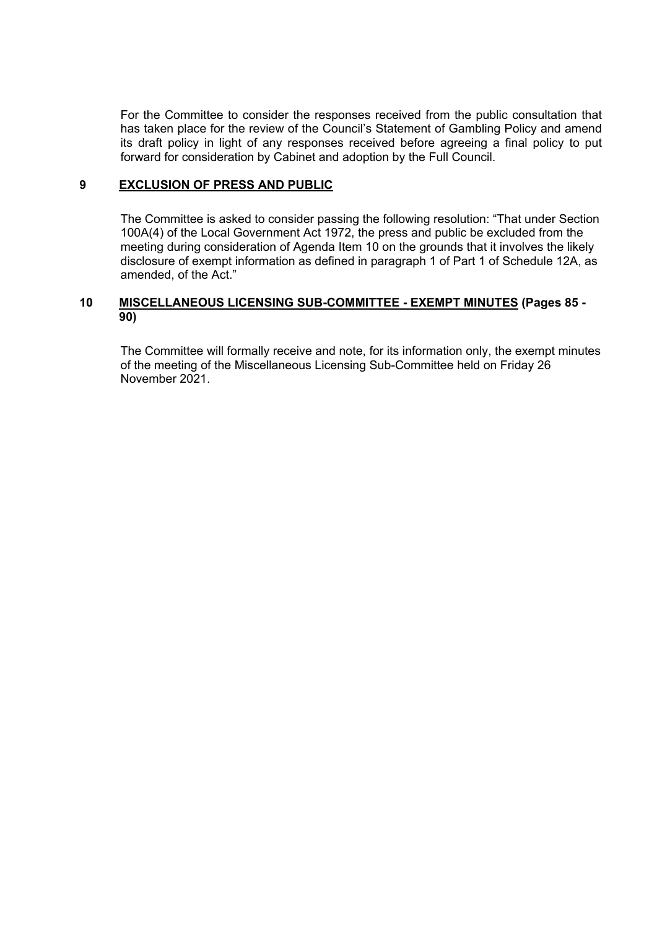For the Committee to consider the responses received from the public consultation that has taken place for the review of the Council's Statement of Gambling Policy and amend its draft policy in light of any responses received before agreeing a final policy to put forward for consideration by Cabinet and adoption by the Full Council.

#### **9 EXCLUSION OF PRESS AND PUBLIC**

The Committee is asked to consider passing the following resolution: "That under Section 100A(4) of the Local Government Act 1972, the press and public be excluded from the meeting during consideration of Agenda Item 10 on the grounds that it involves the likely disclosure of exempt information as defined in paragraph 1 of Part 1 of Schedule 12A, as amended, of the Act."

# **10 MISCELLANEOUS LICENSING SUB-COMMITTEE - EXEMPT MINUTES (Pages 85 - 90)**

The Committee will formally receive and note, for its information only, the exempt minutes of the meeting of the Miscellaneous Licensing Sub-Committee held on Friday 26 November 2021.